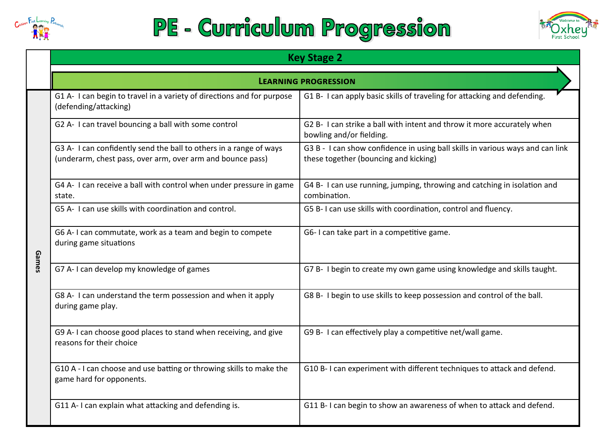

## PE - Curriculum Progression



|       | <b>Key Stage 2</b>                                                                                                               |                                                                                                                         |  |  |
|-------|----------------------------------------------------------------------------------------------------------------------------------|-------------------------------------------------------------------------------------------------------------------------|--|--|
|       | <b>LEARNING PROGRESSION</b>                                                                                                      |                                                                                                                         |  |  |
|       | G1 A- I can begin to travel in a variety of directions and for purpose<br>(defending/attacking)                                  | G1 B- I can apply basic skills of traveling for attacking and defending.                                                |  |  |
|       | G2 A- I can travel bouncing a ball with some control                                                                             | G2 B- I can strike a ball with intent and throw it more accurately when<br>bowling and/or fielding.                     |  |  |
|       | G3 A- I can confidently send the ball to others in a range of ways<br>(underarm, chest pass, over arm, over arm and bounce pass) | G3 B - I can show confidence in using ball skills in various ways and can link<br>these together (bouncing and kicking) |  |  |
|       | G4 A- I can receive a ball with control when under pressure in game<br>state.                                                    | G4 B- I can use running, jumping, throwing and catching in isolation and<br>combination.                                |  |  |
| Games | G5 A- I can use skills with coordination and control.                                                                            | G5 B-I can use skills with coordination, control and fluency.                                                           |  |  |
|       | G6 A-I can commutate, work as a team and begin to compete<br>during game situations                                              | G6-I can take part in a competitive game.                                                                               |  |  |
|       | G7 A- I can develop my knowledge of games                                                                                        | G7 B- I begin to create my own game using knowledge and skills taught.                                                  |  |  |
|       | G8 A- I can understand the term possession and when it apply<br>during game play.                                                | G8 B- I begin to use skills to keep possession and control of the ball.                                                 |  |  |
|       | G9 A-I can choose good places to stand when receiving, and give<br>reasons for their choice                                      | G9 B- I can effectively play a competitive net/wall game.                                                               |  |  |
|       | G10 A - I can choose and use batting or throwing skills to make the<br>game hard for opponents.                                  | G10 B-I can experiment with different techniques to attack and defend.                                                  |  |  |
|       | G11 A-I can explain what attacking and defending is.                                                                             | G11 B-I can begin to show an awareness of when to attack and defend.                                                    |  |  |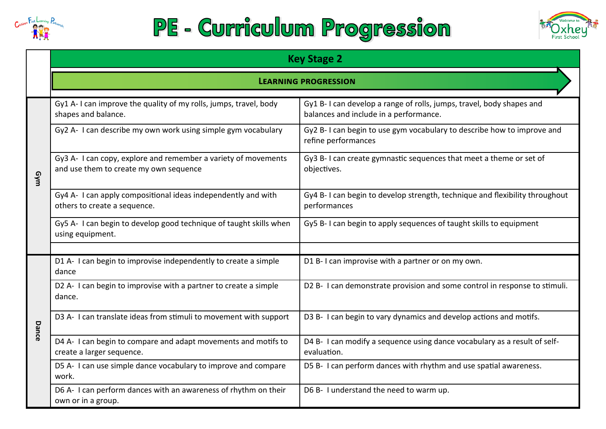

## PE - Curriculum Progression



|       | <b>Key Stage 2</b><br><b>LEARNING PROGRESSION</b>                                                        |                                                                                                                |  |  |  |
|-------|----------------------------------------------------------------------------------------------------------|----------------------------------------------------------------------------------------------------------------|--|--|--|
|       |                                                                                                          |                                                                                                                |  |  |  |
| uulg  | Gy1 A-I can improve the quality of my rolls, jumps, travel, body<br>shapes and balance.                  | Gy1 B-I can develop a range of rolls, jumps, travel, body shapes and<br>balances and include in a performance. |  |  |  |
|       | Gy2 A- I can describe my own work using simple gym vocabulary                                            | Gy2 B-I can begin to use gym vocabulary to describe how to improve and<br>refine performances                  |  |  |  |
|       | Gy3 A- I can copy, explore and remember a variety of movements<br>and use them to create my own sequence | Gy3 B-I can create gymnastic sequences that meet a theme or set of<br>objectives.                              |  |  |  |
|       | Gy4 A- I can apply compositional ideas independently and with<br>others to create a sequence.            | Gy4 B-I can begin to develop strength, technique and flexibility throughout<br>performances                    |  |  |  |
|       | Gy5 A- I can begin to develop good technique of taught skills when<br>using equipment.                   | Gy5 B-I can begin to apply sequences of taught skills to equipment                                             |  |  |  |
|       | D1 A- I can begin to improvise independently to create a simple<br>dance                                 | D1 B-I can improvise with a partner or on my own.                                                              |  |  |  |
|       | D2 A- I can begin to improvise with a partner to create a simple<br>dance.                               | D2 B- I can demonstrate provision and some control in response to stimuli.                                     |  |  |  |
| Dance | D3 A- I can translate ideas from stimuli to movement with support                                        | D3 B- I can begin to vary dynamics and develop actions and motifs.                                             |  |  |  |
|       | D4 A- I can begin to compare and adapt movements and motifs to<br>create a larger sequence.              | D4 B- I can modify a sequence using dance vocabulary as a result of self-<br>evaluation.                       |  |  |  |
|       | D5 A- I can use simple dance vocabulary to improve and compare<br>work.                                  | D5 B- I can perform dances with rhythm and use spatial awareness.                                              |  |  |  |
|       | D6 A- I can perform dances with an awareness of rhythm on their<br>own or in a group.                    | D6 B- I understand the need to warm up.                                                                        |  |  |  |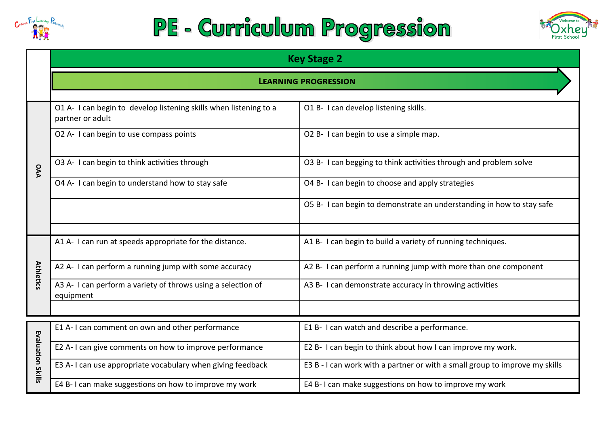

## PE - Curriculum Progression



|                   | <b>Key Stage 2</b>                                                                    |                                                                             |  |
|-------------------|---------------------------------------------------------------------------------------|-----------------------------------------------------------------------------|--|
|                   | <b>LEARNING PROGRESSION</b>                                                           |                                                                             |  |
|                   | O1 A- I can begin to develop listening skills when listening to a<br>partner or adult | O1 B- I can develop listening skills.                                       |  |
|                   | O2 A- I can begin to use compass points                                               | O2 B- I can begin to use a simple map.                                      |  |
| PA                | O3 A- I can begin to think activities through                                         | O3 B- I can begging to think activities through and problem solve           |  |
|                   | O4 A- I can begin to understand how to stay safe                                      | O4 B- I can begin to choose and apply strategies                            |  |
|                   |                                                                                       | O5 B- I can begin to demonstrate an understanding in how to stay safe       |  |
|                   |                                                                                       |                                                                             |  |
|                   | A1 A- I can run at speeds appropriate for the distance.                               | A1 B- I can begin to build a variety of running techniques.                 |  |
| <b>Athletics</b>  | A2 A- I can perform a running jump with some accuracy                                 | A2 B- I can perform a running jump with more than one component             |  |
|                   | A3 A- I can perform a variety of throws using a selection of<br>equipment             | A3 B- I can demonstrate accuracy in throwing activities                     |  |
|                   |                                                                                       |                                                                             |  |
|                   | E1 A-I can comment on own and other performance                                       | E1 B- I can watch and describe a performance.                               |  |
|                   | E2 A- I can give comments on how to improve performance                               | E2 B- I can begin to think about how I can improve my work.                 |  |
| Evaluation Skills | E3 A-I can use appropriate vocabulary when giving feedback                            | E3 B - I can work with a partner or with a small group to improve my skills |  |
|                   | E4 B-I can make suggestions on how to improve my work                                 | E4 B-I can make suggestions on how to improve my work                       |  |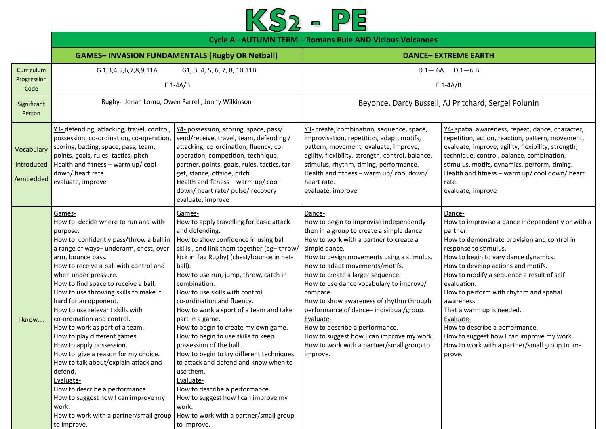

|                                       | <b>Cycle A- AUTUMN TERM-Romans Rule AND Vicious Volcanoes</b>                                                                                                                                                                                                                                                                                                                                                                                                                                                                                                                                                                                                                                                                                                     |                                                                                                                                                                                                                                                                                                                                                                                                                                                                                                                                                                                                                                                                                                                                                                          |                                                                                                                                                                                                                                                                                                                                                                                                                                                                                                                                                                               |                                                                                                                                                                                                                                                                                                                                                                                                                                                                                                                                      |  |
|---------------------------------------|-------------------------------------------------------------------------------------------------------------------------------------------------------------------------------------------------------------------------------------------------------------------------------------------------------------------------------------------------------------------------------------------------------------------------------------------------------------------------------------------------------------------------------------------------------------------------------------------------------------------------------------------------------------------------------------------------------------------------------------------------------------------|--------------------------------------------------------------------------------------------------------------------------------------------------------------------------------------------------------------------------------------------------------------------------------------------------------------------------------------------------------------------------------------------------------------------------------------------------------------------------------------------------------------------------------------------------------------------------------------------------------------------------------------------------------------------------------------------------------------------------------------------------------------------------|-------------------------------------------------------------------------------------------------------------------------------------------------------------------------------------------------------------------------------------------------------------------------------------------------------------------------------------------------------------------------------------------------------------------------------------------------------------------------------------------------------------------------------------------------------------------------------|--------------------------------------------------------------------------------------------------------------------------------------------------------------------------------------------------------------------------------------------------------------------------------------------------------------------------------------------------------------------------------------------------------------------------------------------------------------------------------------------------------------------------------------|--|
|                                       |                                                                                                                                                                                                                                                                                                                                                                                                                                                                                                                                                                                                                                                                                                                                                                   | <b>GAMES-INVASION FUNDAMENTALS (Rugby OR Netball)</b>                                                                                                                                                                                                                                                                                                                                                                                                                                                                                                                                                                                                                                                                                                                    |                                                                                                                                                                                                                                                                                                                                                                                                                                                                                                                                                                               | <b>DANCE- EXTREME EARTH</b>                                                                                                                                                                                                                                                                                                                                                                                                                                                                                                          |  |
| Curriculum<br>Progression<br>Code     | $D1 - 6A$ $D1 - 6B$<br>G 1, 3, 4, 5, 6, 7, 8, 9, 11 A<br>G1, 3, 4, 5, 6, 7, 8, 10, 11B<br>$E$ 1-4A/B<br>$E$ 1-4A/B                                                                                                                                                                                                                                                                                                                                                                                                                                                                                                                                                                                                                                                |                                                                                                                                                                                                                                                                                                                                                                                                                                                                                                                                                                                                                                                                                                                                                                          |                                                                                                                                                                                                                                                                                                                                                                                                                                                                                                                                                                               |                                                                                                                                                                                                                                                                                                                                                                                                                                                                                                                                      |  |
| Significant<br>Person                 | Rugby- Jonah Lomu, Owen Farrell, Jonny Wilkinson<br>Beyonce, Darcy Bussell, AJ Pritchard, Sergei Polunin                                                                                                                                                                                                                                                                                                                                                                                                                                                                                                                                                                                                                                                          |                                                                                                                                                                                                                                                                                                                                                                                                                                                                                                                                                                                                                                                                                                                                                                          |                                                                                                                                                                                                                                                                                                                                                                                                                                                                                                                                                                               |                                                                                                                                                                                                                                                                                                                                                                                                                                                                                                                                      |  |
| Vocabulary<br>Introduced<br>/embedded | Y3- defending, attacking, travel, control,<br>possession, co-ordination, co-operation,<br>scoring, batting, space, pass, team,<br>points, goals, rules, tactics, pitch<br>Health and fitness - warm up/ cool<br>down/heart rate<br>evaluate, improve                                                                                                                                                                                                                                                                                                                                                                                                                                                                                                              | Y4- possession, scoring, space, pass/<br>send/receive, travel, team, defending /<br>attacking, co-ordination, fluency, co-<br>operation, competition, technique,<br>partner, points, goals, rules, tactics, tar-<br>get, stance, offside, pitch<br>Health and fitness - warm up/ cool<br>down/heart rate/pulse/recovery<br>evaluate, improve                                                                                                                                                                                                                                                                                                                                                                                                                             | Y3- create, combination, sequence, space,<br>improvisation, repetition, adapt, motifs,<br>pattern, movement, evaluate, improve,<br>agility, flexibility, strength, control, balance,<br>stimulus, rhythm, timing, performance.<br>Health and fitness - warm up/ cool down/<br>heart rate.<br>evaluate, improve                                                                                                                                                                                                                                                                | Y4- spatial awareness, repeat, dance, character,<br>repetition, action, reaction, pattern, movement,<br>evaluate, improve, agility, flexibility, strength,<br>technique, control, balance, combination,<br>stimulus, motifs, dynamics, perform, timing.<br>Health and fitness - warm up/ cool down/ heart<br>rate.<br>evaluate, improve                                                                                                                                                                                              |  |
| I know                                | Games-<br>How to decide where to run and with<br>purpose.<br>How to confidently pass/throw a ball in<br>a range of ways- underarm, chest, over-<br>arm, bounce pass.<br>How to receive a ball with control and<br>when under pressure.<br>How to find space to receive a ball.<br>How to use throwing skills to make it<br>hard for an opponent.<br>How to use relevant skills with<br>co-ordination and control.<br>How to work as part of a team.<br>How to play different games.<br>How to apply possession.<br>How to give a reason for my choice.<br>How to talk about/explain attack and<br>defend.<br>Evaluate-<br>How to describe a performance.<br>How to suggest how I can improve my<br>work.<br>How to work with a partner/small group<br>to improve. | Games-<br>How to apply travelling for basic attack<br>and defending.<br>How to show confidence in using ball<br>skills, and link them together (eg-throw/<br>kick in Tag Rugby) (chest/bounce in net-<br>ball).<br>How to use run, jump, throw, catch in<br>combination.<br>How to use skills with control,<br>co-ordination and fluency.<br>How to work a sport of a team and take<br>part in a game.<br>How to begin to create my own game.<br>How to begin to use skills to keep<br>possession of the ball.<br>How to begin to try different techniques<br>to attack and defend and know when to<br>use them.<br>Evaluate-<br>How to describe a performance.<br>How to suggest how I can improve my<br>work.<br>How to work with a partner/small group<br>to improve. | Dance-<br>How to begin to improvise independently<br>then in a group to create a simple dance.<br>How to work with a partner to create a<br>simple dance.<br>How to design movements using a stimulus.<br>How to adapt movements/motifs.<br>How to create a larger sequence.<br>How to use dance vocabulary to improve/<br>compare.<br>How to show awareness of rhythm through<br>performance of dance-individual/group.<br>Evaluate-<br>How to describe a performance.<br>How to suggest how I can improve my work.<br>How to work with a partner/small group to<br>improve. | Dance-<br>How to improvise a dance independently or with a<br>partner.<br>How to demonstrate provision and control in<br>response to stimulus.<br>How to begin to vary dance dynamics.<br>How to develop actions and motifs.<br>How to modify a sequence a result of self<br>evaluation.<br>How to perform with rhythm and spatial<br>awareness.<br>That a warm up is needed.<br>Evaluate-<br>How to describe a performance.<br>How to suggest how I can improve my work.<br>How to work with a partner/small group to im-<br>prove. |  |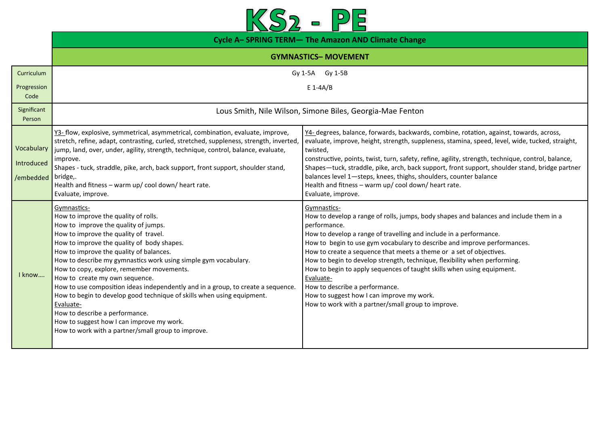

|                                       | Cycle A-SPRING TERM- The Amazon AND Climate Change                                                                                                                                                                                                                                                                                                                                                                                                                                                                                                                                                                                                                                              |                                                                                                                                                                                                                                                                                                                                                                                                                                                                                                                                                                                                                                                         |  |  |
|---------------------------------------|-------------------------------------------------------------------------------------------------------------------------------------------------------------------------------------------------------------------------------------------------------------------------------------------------------------------------------------------------------------------------------------------------------------------------------------------------------------------------------------------------------------------------------------------------------------------------------------------------------------------------------------------------------------------------------------------------|---------------------------------------------------------------------------------------------------------------------------------------------------------------------------------------------------------------------------------------------------------------------------------------------------------------------------------------------------------------------------------------------------------------------------------------------------------------------------------------------------------------------------------------------------------------------------------------------------------------------------------------------------------|--|--|
| <b>GYMNASTICS-MOVEMENT</b>            |                                                                                                                                                                                                                                                                                                                                                                                                                                                                                                                                                                                                                                                                                                 |                                                                                                                                                                                                                                                                                                                                                                                                                                                                                                                                                                                                                                                         |  |  |
| Curriculum<br>Progression<br>Code     | Gy 1-5B<br>Gy 1-5A<br>$E 1-AA/B$                                                                                                                                                                                                                                                                                                                                                                                                                                                                                                                                                                                                                                                                |                                                                                                                                                                                                                                                                                                                                                                                                                                                                                                                                                                                                                                                         |  |  |
| Significant<br>Person                 | Lous Smith, Nile Wilson, Simone Biles, Georgia-Mae Fenton                                                                                                                                                                                                                                                                                                                                                                                                                                                                                                                                                                                                                                       |                                                                                                                                                                                                                                                                                                                                                                                                                                                                                                                                                                                                                                                         |  |  |
| Vocabulary<br>Introduced<br>/embedded | Y3- flow, explosive, symmetrical, asymmetrical, combination, evaluate, improve,<br>stretch, refine, adapt, contrasting, curled, stretched, suppleness, strength, inverted,<br>jump, land, over, under, agility, strength, technique, control, balance, evaluate,<br>improve.<br>Shapes - tuck, straddle, pike, arch, back support, front support, shoulder stand,<br>bridge,.<br>Health and fitness - warm up/ cool down/ heart rate.<br>Evaluate, improve.                                                                                                                                                                                                                                     | Y4-degrees, balance, forwards, backwards, combine, rotation, against, towards, across,<br>evaluate, improve, height, strength, suppleness, stamina, speed, level, wide, tucked, straight,<br>twisted,<br>constructive, points, twist, turn, safety, refine, agility, strength, technique, control, balance,<br>Shapes-tuck, straddle, pike, arch, back support, front support, shoulder stand, bridge partner<br>balances level 1-steps, knees, thighs, shoulders, counter balance<br>Health and fitness - warm up/ cool down/ heart rate.<br>Evaluate, improve.                                                                                        |  |  |
| I know                                | Gymnastics-<br>How to improve the quality of rolls.<br>How to improve the quality of jumps.<br>How to improve the quality of travel.<br>How to improve the quality of body shapes.<br>How to improve the quality of balances.<br>How to describe my gymnastics work using simple gym vocabulary.<br>How to copy, explore, remember movements.<br>How to create my own sequence.<br>How to use composition ideas independently and in a group, to create a sequence.<br>How to begin to develop good technique of skills when using equipment.<br>Evaluate-<br>How to describe a performance.<br>How to suggest how I can improve my work.<br>How to work with a partner/small group to improve. | Gymnastics-<br>How to develop a range of rolls, jumps, body shapes and balances and include them in a<br>performance.<br>How to develop a range of travelling and include in a performance.<br>How to begin to use gym vocabulary to describe and improve performances.<br>How to create a sequence that meets a theme or a set of objectives.<br>How to begin to develop strength, technique, flexibility when performing.<br>How to begin to apply sequences of taught skills when using equipment.<br>Evaluate-<br>How to describe a performance.<br>How to suggest how I can improve my work.<br>How to work with a partner/small group to improve. |  |  |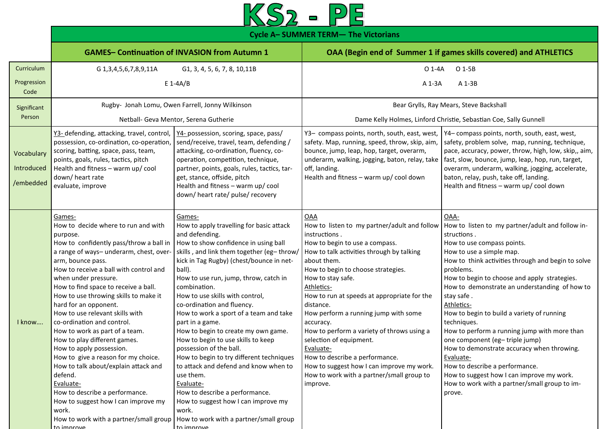

**Cycle A– SUMMER TERM— The Victorians**

|                                       | <b>GAMES- Continuation of INVASION from Autumn 1</b>                                                                                                                                                                                                                                                                                                                                                                                                                                                                                                                                                                                                                                                                                                             |                                                                                                                                                                                                                                                                                                                                                                                                                                                                                                                                                                                                                                                                                                                                                                         | OAA (Begin end of Summer 1 if games skills covered) and ATHLETICS                                                                                                                                                                                                                                                                                                                                                                                                                                                                                                                          |                                                                                                                                                                                                                                                                                                                                                                                                                                                                                                                                                                                                                                                                                       |
|---------------------------------------|------------------------------------------------------------------------------------------------------------------------------------------------------------------------------------------------------------------------------------------------------------------------------------------------------------------------------------------------------------------------------------------------------------------------------------------------------------------------------------------------------------------------------------------------------------------------------------------------------------------------------------------------------------------------------------------------------------------------------------------------------------------|-------------------------------------------------------------------------------------------------------------------------------------------------------------------------------------------------------------------------------------------------------------------------------------------------------------------------------------------------------------------------------------------------------------------------------------------------------------------------------------------------------------------------------------------------------------------------------------------------------------------------------------------------------------------------------------------------------------------------------------------------------------------------|--------------------------------------------------------------------------------------------------------------------------------------------------------------------------------------------------------------------------------------------------------------------------------------------------------------------------------------------------------------------------------------------------------------------------------------------------------------------------------------------------------------------------------------------------------------------------------------------|---------------------------------------------------------------------------------------------------------------------------------------------------------------------------------------------------------------------------------------------------------------------------------------------------------------------------------------------------------------------------------------------------------------------------------------------------------------------------------------------------------------------------------------------------------------------------------------------------------------------------------------------------------------------------------------|
| Curriculum                            | G 1, 3, 4, 5, 6, 7, 8, 9, 11 A                                                                                                                                                                                                                                                                                                                                                                                                                                                                                                                                                                                                                                                                                                                                   | G1, 3, 4, 5, 6, 7, 8, 10, 11B                                                                                                                                                                                                                                                                                                                                                                                                                                                                                                                                                                                                                                                                                                                                           | $O$ 1-4A                                                                                                                                                                                                                                                                                                                                                                                                                                                                                                                                                                                   | O 1-5B                                                                                                                                                                                                                                                                                                                                                                                                                                                                                                                                                                                                                                                                                |
| Progression<br>Code                   |                                                                                                                                                                                                                                                                                                                                                                                                                                                                                                                                                                                                                                                                                                                                                                  | $E 1-AA/B$                                                                                                                                                                                                                                                                                                                                                                                                                                                                                                                                                                                                                                                                                                                                                              | A 1-3B<br>A 1-3A                                                                                                                                                                                                                                                                                                                                                                                                                                                                                                                                                                           |                                                                                                                                                                                                                                                                                                                                                                                                                                                                                                                                                                                                                                                                                       |
| Significant<br>Person                 | Rugby- Jonah Lomu, Owen Farrell, Jonny Wilkinson<br>Netball- Geva Mentor, Serena Gutherie                                                                                                                                                                                                                                                                                                                                                                                                                                                                                                                                                                                                                                                                        |                                                                                                                                                                                                                                                                                                                                                                                                                                                                                                                                                                                                                                                                                                                                                                         | Bear Grylls, Ray Mears, Steve Backshall<br>Dame Kelly Holmes, Linford Christie, Sebastian Coe, Sally Gunnell                                                                                                                                                                                                                                                                                                                                                                                                                                                                               |                                                                                                                                                                                                                                                                                                                                                                                                                                                                                                                                                                                                                                                                                       |
| Vocabulary<br>Introduced<br>/embedded | Y3- defending, attacking, travel, control,<br>possession, co-ordination, co-operation,<br>scoring, batting, space, pass, team,<br>points, goals, rules, tactics, pitch<br>Health and fitness - warm up/ cool<br>down/heart rate<br>evaluate, improve                                                                                                                                                                                                                                                                                                                                                                                                                                                                                                             | Y4- possession, scoring, space, pass/<br>send/receive, travel, team, defending /<br>attacking, co-ordination, fluency, co-<br>operation, competition, technique,<br>partner, points, goals, rules, tactics, tar-<br>get, stance, offside, pitch<br>Health and fitness - warm up/ cool<br>down/heart rate/pulse/recovery                                                                                                                                                                                                                                                                                                                                                                                                                                                 | Y3- compass points, north, south, east, west,<br>safety. Map, running, speed, throw, skip, aim,<br>bounce, jump, leap, hop, target, overarm,<br>underarm, walking, jogging, baton, relay, take<br>off, landing.<br>Health and fitness - warm up/ cool down                                                                                                                                                                                                                                                                                                                                 | Y4- compass points, north, south, east, west,<br>safety, problem solve, map, running, technique,<br>pace, accuracy, power, throw, high, low, skip,, aim,<br>fast, slow, bounce, jump, leap, hop, run, target,<br>overarm, underarm, walking, jogging, accelerate,<br>baton, relay, push, take off, landing.<br>Health and fitness - warm up/ cool down                                                                                                                                                                                                                                                                                                                                |
| I know                                | Games-<br>How to decide where to run and with<br>purpose.<br>How to confidently pass/throw a ball in<br>a range of ways- underarm, chest, over-<br>arm, bounce pass.<br>How to receive a ball with control and<br>when under pressure.<br>How to find space to receive a ball.<br>How to use throwing skills to make it<br>hard for an opponent.<br>How to use relevant skills with<br>co-ordination and control.<br>How to work as part of a team.<br>How to play different games.<br>How to apply possession.<br>How to give a reason for my choice.<br>How to talk about/explain attack and<br>defend.<br>Evaluate-<br>How to describe a performance.<br>How to suggest how I can improve my<br>work.<br>How to work with a partner/small group<br>to improve | Games-<br>How to apply travelling for basic attack<br>and defending.<br>How to show confidence in using ball<br>skills, and link them together (eg-throw/<br>kick in Tag Rugby) (chest/bounce in net-<br>ball).<br>How to use run, jump, throw, catch in<br>combination.<br>How to use skills with control,<br>co-ordination and fluency.<br>How to work a sport of a team and take<br>part in a game.<br>How to begin to create my own game.<br>How to begin to use skills to keep<br>possession of the ball.<br>How to begin to try different techniques<br>to attack and defend and know when to<br>use them.<br>Evaluate-<br>How to describe a performance.<br>How to suggest how I can improve my<br>work.<br>How to work with a partner/small group<br>to improve | OAA<br>How to listen to my partner/adult and follow<br>instructions.<br>How to begin to use a compass.<br>How to talk activities through by talking<br>about them.<br>How to begin to choose strategies.<br>How to stay safe.<br>Athletics-<br>How to run at speeds at appropriate for the<br>distance.<br>How perform a running jump with some<br>accuracy.<br>How to perform a variety of throws using a<br>selection of equipment.<br>Evaluate-<br>How to describe a performance.<br>How to suggest how I can improve my work.<br>How to work with a partner/small group to<br>improve. | OAA-<br>How to listen to my partner/adult and follow in-<br>structions.<br>How to use compass points.<br>How to use a simple map.<br>How to think activities through and begin to solve<br>problems.<br>How to begin to choose and apply strategies.<br>How to demonstrate an understanding of how to<br>stay safe.<br>Athletics-<br>How to begin to build a variety of running<br>techniques.<br>How to perform a running jump with more than<br>one component (eg-triple jump)<br>How to demonstrate accuracy when throwing.<br>Evaluate-<br>How to describe a performance.<br>How to suggest how I can improve my work.<br>How to work with a partner/small group to im-<br>prove. |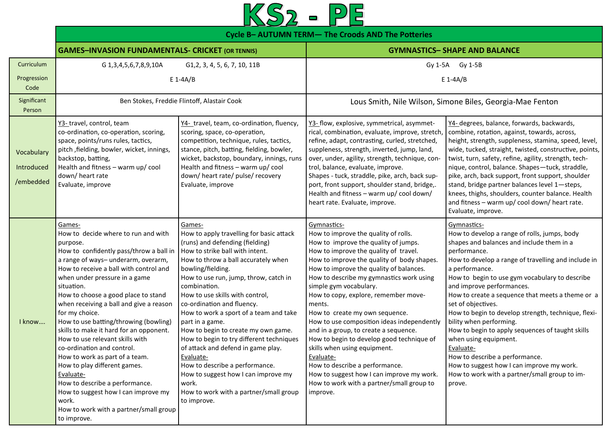

|                                       | Cycle B- AUTUMN TERM- The Croods AND The Potteries                                                                                                                                                                                                                                                                                                                                                                                                                                                                                                                                                                                                                                                                      |                                                                                                                                                                                                                                                                                                                                                                                                                                                                                                                                                                                                                                                              |                                                                                                                                                                                                                                                                                                                                                                                                                                                                                                                                                                                                                                                                                                                  |                                                                                                                                                                                                                                                                                                                                                                                                                                                                                                                                                                                                                                                                                  |  |
|---------------------------------------|-------------------------------------------------------------------------------------------------------------------------------------------------------------------------------------------------------------------------------------------------------------------------------------------------------------------------------------------------------------------------------------------------------------------------------------------------------------------------------------------------------------------------------------------------------------------------------------------------------------------------------------------------------------------------------------------------------------------------|--------------------------------------------------------------------------------------------------------------------------------------------------------------------------------------------------------------------------------------------------------------------------------------------------------------------------------------------------------------------------------------------------------------------------------------------------------------------------------------------------------------------------------------------------------------------------------------------------------------------------------------------------------------|------------------------------------------------------------------------------------------------------------------------------------------------------------------------------------------------------------------------------------------------------------------------------------------------------------------------------------------------------------------------------------------------------------------------------------------------------------------------------------------------------------------------------------------------------------------------------------------------------------------------------------------------------------------------------------------------------------------|----------------------------------------------------------------------------------------------------------------------------------------------------------------------------------------------------------------------------------------------------------------------------------------------------------------------------------------------------------------------------------------------------------------------------------------------------------------------------------------------------------------------------------------------------------------------------------------------------------------------------------------------------------------------------------|--|
|                                       | <b>GAMES-INVASION FUNDAMENTALS- CRICKET (OR TENNIS)</b>                                                                                                                                                                                                                                                                                                                                                                                                                                                                                                                                                                                                                                                                 |                                                                                                                                                                                                                                                                                                                                                                                                                                                                                                                                                                                                                                                              |                                                                                                                                                                                                                                                                                                                                                                                                                                                                                                                                                                                                                                                                                                                  | <b>GYMNASTICS- SHAPE AND BALANCE</b>                                                                                                                                                                                                                                                                                                                                                                                                                                                                                                                                                                                                                                             |  |
| Curriculum<br>Progression<br>Code     | G 1, 3, 4, 5, 6, 7, 8, 9, 10 A<br>G1, 2, 3, 4, 5, 6, 7, 10, 11B<br>$E$ 1-4A/B                                                                                                                                                                                                                                                                                                                                                                                                                                                                                                                                                                                                                                           |                                                                                                                                                                                                                                                                                                                                                                                                                                                                                                                                                                                                                                                              | Gy 1-5A<br>Gy 1-5B<br>$E$ 1-4A/B                                                                                                                                                                                                                                                                                                                                                                                                                                                                                                                                                                                                                                                                                 |                                                                                                                                                                                                                                                                                                                                                                                                                                                                                                                                                                                                                                                                                  |  |
| Significant<br>Person                 |                                                                                                                                                                                                                                                                                                                                                                                                                                                                                                                                                                                                                                                                                                                         | Ben Stokes, Freddie Flintoff, Alastair Cook                                                                                                                                                                                                                                                                                                                                                                                                                                                                                                                                                                                                                  |                                                                                                                                                                                                                                                                                                                                                                                                                                                                                                                                                                                                                                                                                                                  | Lous Smith, Nile Wilson, Simone Biles, Georgia-Mae Fenton                                                                                                                                                                                                                                                                                                                                                                                                                                                                                                                                                                                                                        |  |
| Vocabulary<br>Introduced<br>/embedded | Y3-travel, control, team<br>co-ordination, co-operation, scoring,<br>space, points/runs rules, tactics,<br>pitch, fielding, bowler, wicket, innings,<br>backstop, batting,<br>Health and fitness - warm up/ cool<br>down/heart rate<br>Evaluate, improve                                                                                                                                                                                                                                                                                                                                                                                                                                                                | Y4- travel, team, co-ordination, fluency,<br>scoring, space, co-operation,<br>competition, technique, rules, tactics,<br>stance, pitch, batting, fielding, bowler,<br>wicket, backstop, boundary, innings, runs<br>Health and fitness - warm up/ cool<br>down/heart rate/pulse/recovery<br>Evaluate, improve                                                                                                                                                                                                                                                                                                                                                 | Y3- flow, explosive, symmetrical, asymmet-<br>rical, combination, evaluate, improve, stretch,<br>refine, adapt, contrasting, curled, stretched,<br>suppleness, strength, inverted, jump, land,<br>over, under, agility, strength, technique, con-<br>trol, balance, evaluate, improve.<br>Shapes - tuck, straddle, pike, arch, back sup-<br>port, front support, shoulder stand, bridge,.<br>Health and fitness - warm up/ cool down/<br>heart rate. Evaluate, improve.                                                                                                                                                                                                                                          | Y4- degrees, balance, forwards, backwards,<br>combine, rotation, against, towards, across,<br>height, strength, suppleness, stamina, speed, level,<br>wide, tucked, straight, twisted, constructive, points,<br>twist, turn, safety, refine, agility, strength, tech-<br>nique, control, balance. Shapes-tuck, straddle,<br>pike, arch, back support, front support, shoulder<br>stand, bridge partner balances level 1-steps,<br>knees, thighs, shoulders, counter balance. Health<br>and fitness - warm up/ cool down/ heart rate.<br>Evaluate, improve.                                                                                                                       |  |
| I know                                | Games-<br>How to decide where to run and with<br>purpose.<br>How to confidently pass/throw a ball in<br>a range of ways- underarm, overarm,<br>How to receive a ball with control and<br>when under pressure in a game<br>situation.<br>How to choose a good place to stand<br>when receiving a ball and give a reason<br>for my choice.<br>How to use batting/throwing (bowling)<br>skills to make it hard for an opponent.<br>How to use relevant skills with<br>co-ordination and control.<br>How to work as part of a team.<br>How to play different games.<br>Evaluate-<br>How to describe a performance.<br>How to suggest how I can improve my<br>work.<br>How to work with a partner/small group<br>to improve. | Games-<br>How to apply travelling for basic attack<br>(runs) and defending (fielding)<br>How to strike ball with intent.<br>How to throw a ball accurately when<br>bowling/fielding.<br>How to use run, jump, throw, catch in<br>combination.<br>How to use skills with control,<br>co-ordination and fluency.<br>How to work a sport of a team and take<br>part in a game.<br>How to begin to create my own game.<br>How to begin to try different techniques<br>of attack and defend in game play.<br>Evaluate-<br>How to describe a performance.<br>How to suggest how I can improve my<br>work.<br>How to work with a partner/small group<br>to improve. | Gymnastics-<br>How to improve the quality of rolls.<br>How to improve the quality of jumps.<br>How to improve the quality of travel.<br>How to improve the quality of body shapes.<br>How to improve the quality of balances.<br>How to describe my gymnastics work using<br>simple gym vocabulary.<br>How to copy, explore, remember move-<br>ments.<br>How to create my own sequence.<br>How to use composition ideas independently<br>and in a group, to create a sequence.<br>How to begin to develop good technique of<br>skills when using equipment.<br>Evaluate-<br>How to describe a performance.<br>How to suggest how I can improve my work.<br>How to work with a partner/small group to<br>improve. | Gymnastics-<br>How to develop a range of rolls, jumps, body<br>shapes and balances and include them in a<br>performance.<br>How to develop a range of travelling and include in<br>a performance.<br>How to begin to use gym vocabulary to describe<br>and improve performances.<br>How to create a sequence that meets a theme or a<br>set of objectives.<br>How to begin to develop strength, technique, flexi-<br>bility when performing.<br>How to begin to apply sequences of taught skills<br>when using equipment.<br>Evaluate-<br>How to describe a performance.<br>How to suggest how I can improve my work.<br>How to work with a partner/small group to im-<br>prove. |  |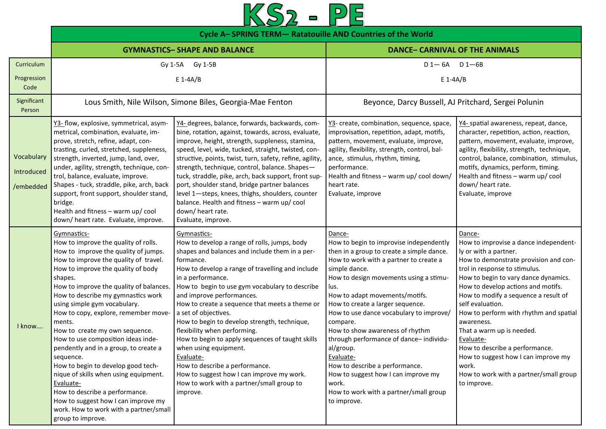## $KS2 - PE$

|                                       | Cycle A-SPRING TERM- Ratatouille AND Countries of the World                                                                                                                                                                                                                                                                                                                                                                                                                                                                                                                                                                                                                                                                |                                                                                                                                                                                                                                                                                                                                                                                                                                                                                                                                                                                                                                                                                |                                                                                                                                                                                                                                                                                                                                                                                                                                                                                                                                                                                            |                                                                                                                                                                                                                                                                                                                                                                                                                                                                                                                                           |
|---------------------------------------|----------------------------------------------------------------------------------------------------------------------------------------------------------------------------------------------------------------------------------------------------------------------------------------------------------------------------------------------------------------------------------------------------------------------------------------------------------------------------------------------------------------------------------------------------------------------------------------------------------------------------------------------------------------------------------------------------------------------------|--------------------------------------------------------------------------------------------------------------------------------------------------------------------------------------------------------------------------------------------------------------------------------------------------------------------------------------------------------------------------------------------------------------------------------------------------------------------------------------------------------------------------------------------------------------------------------------------------------------------------------------------------------------------------------|--------------------------------------------------------------------------------------------------------------------------------------------------------------------------------------------------------------------------------------------------------------------------------------------------------------------------------------------------------------------------------------------------------------------------------------------------------------------------------------------------------------------------------------------------------------------------------------------|-------------------------------------------------------------------------------------------------------------------------------------------------------------------------------------------------------------------------------------------------------------------------------------------------------------------------------------------------------------------------------------------------------------------------------------------------------------------------------------------------------------------------------------------|
|                                       |                                                                                                                                                                                                                                                                                                                                                                                                                                                                                                                                                                                                                                                                                                                            | <b>GYMNASTICS- SHAPE AND BALANCE</b>                                                                                                                                                                                                                                                                                                                                                                                                                                                                                                                                                                                                                                           | <b>DANCE- CARNIVAL OF THE ANIMALS</b>                                                                                                                                                                                                                                                                                                                                                                                                                                                                                                                                                      |                                                                                                                                                                                                                                                                                                                                                                                                                                                                                                                                           |
| Curriculum<br>Progression<br>Code     | Gy 1-5A                                                                                                                                                                                                                                                                                                                                                                                                                                                                                                                                                                                                                                                                                                                    | Gy 1-5B<br>$E$ 1-4A/B                                                                                                                                                                                                                                                                                                                                                                                                                                                                                                                                                                                                                                                          | $D1 - 6A$ $D1 - 6B$<br>$E$ 1-4A/B                                                                                                                                                                                                                                                                                                                                                                                                                                                                                                                                                          |                                                                                                                                                                                                                                                                                                                                                                                                                                                                                                                                           |
| Significant<br>Person                 |                                                                                                                                                                                                                                                                                                                                                                                                                                                                                                                                                                                                                                                                                                                            | Lous Smith, Nile Wilson, Simone Biles, Georgia-Mae Fenton                                                                                                                                                                                                                                                                                                                                                                                                                                                                                                                                                                                                                      | Beyonce, Darcy Bussell, AJ Pritchard, Sergei Polunin                                                                                                                                                                                                                                                                                                                                                                                                                                                                                                                                       |                                                                                                                                                                                                                                                                                                                                                                                                                                                                                                                                           |
| Vocabulary<br>Introduced<br>/embedded | Y3- flow, explosive, symmetrical, asym-<br>metrical, combination, evaluate, im-<br>prove, stretch, refine, adapt, con-<br>trasting, curled, stretched, suppleness,<br>strength, inverted, jump, land, over,<br>under, agility, strength, technique, con-<br>trol, balance, evaluate, improve.<br>Shapes - tuck, straddle, pike, arch, back<br>support, front support, shoulder stand,<br>bridge.<br>Health and fitness - warm up/ cool<br>down/ heart rate. Evaluate, improve.                                                                                                                                                                                                                                             | Y4- degrees, balance, forwards, backwards, com-<br>bine, rotation, against, towards, across, evaluate,<br>improve, height, strength, suppleness, stamina,<br>speed, level, wide, tucked, straight, twisted, con-<br>structive, points, twist, turn, safety, refine, agility,<br>strength, technique, control, balance. Shapes-<br>tuck, straddle, pike, arch, back support, front sup-<br>port, shoulder stand, bridge partner balances<br>level 1-steps, knees, thighs, shoulders, counter<br>balance. Health and fitness - warm up/ cool<br>down/heart rate.<br>Evaluate, improve.                                                                                           | Y3- create, combination, sequence, space,<br>improvisation, repetition, adapt, motifs,<br>pattern, movement, evaluate, improve,<br>agility, flexibility, strength, control, bal-<br>ance, stimulus, rhythm, timing,<br>performance.<br>Health and fitness - warm up/ cool down/<br>heart rate.<br>Evaluate, improve                                                                                                                                                                                                                                                                        | Y4- spatial awareness, repeat, dance,<br>character, repetition, action, reaction,<br>pattern, movement, evaluate, improve,<br>agility, flexibility, strength, technique,<br>control, balance, combination, stimulus,<br>motifs, dynamics, perform, timing.<br>Health and fitness - warm up/ cool<br>down/heart rate.<br>Evaluate, improve                                                                                                                                                                                                 |
| I know                                | Gymnastics-<br>How to improve the quality of rolls.<br>How to improve the quality of jumps.<br>How to improve the quality of travel.<br>How to improve the quality of body<br>shapes.<br>How to improve the quality of balances.<br>How to describe my gymnastics work<br>using simple gym vocabulary.<br>How to copy, explore, remember move-<br>ments.<br>How to create my own sequence.<br>How to use composition ideas inde-<br>pendently and in a group, to create a<br>sequence.<br>How to begin to develop good tech-<br>nique of skills when using equipment.<br>Evaluate-<br>How to describe a performance.<br>How to suggest how I can improve my<br>work. How to work with a partner/small<br>group to improve. | Gymnastics-<br>How to develop a range of rolls, jumps, body<br>shapes and balances and include them in a per-<br>formance.<br>How to develop a range of travelling and include<br>in a performance.<br>How to begin to use gym vocabulary to describe<br>and improve performances.<br>How to create a sequence that meets a theme or<br>a set of objectives.<br>How to begin to develop strength, technique,<br>flexibility when performing.<br>How to begin to apply sequences of taught skills<br>when using equipment.<br>Evaluate-<br>How to describe a performance.<br>How to suggest how I can improve my work.<br>How to work with a partner/small group to<br>improve. | Dance-<br>How to begin to improvise independently<br>then in a group to create a simple dance.<br>How to work with a partner to create a<br>simple dance.<br>How to design movements using a stimu-<br>lus.<br>How to adapt movements/motifs.<br>How to create a larger sequence.<br>How to use dance vocabulary to improve/<br>compare.<br>How to show awareness of rhythm<br>through performance of dance-individu-<br>al/group.<br>Evaluate-<br>How to describe a performance.<br>How to suggest how I can improve my<br>work.<br>How to work with a partner/small group<br>to improve. | Dance-<br>How to improvise a dance independent-<br>ly or with a partner.<br>How to demonstrate provision and con-<br>trol in response to stimulus.<br>How to begin to vary dance dynamics.<br>How to develop actions and motifs.<br>How to modify a sequence a result of<br>self evaluation.<br>How to perform with rhythm and spatial<br>awareness.<br>That a warm up is needed.<br>Evaluate-<br>How to describe a performance.<br>How to suggest how I can improve my<br>work.<br>How to work with a partner/small group<br>to improve. |